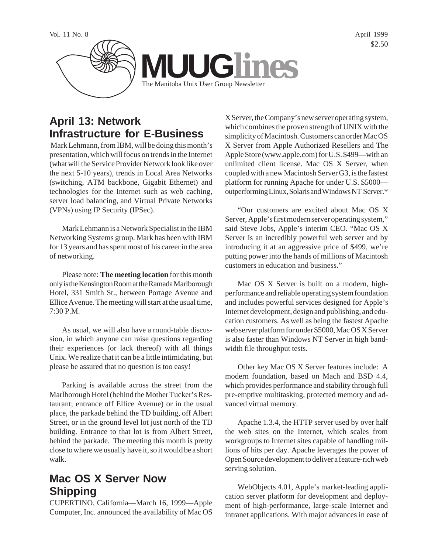

# **April 13: Network Infrastructure for E-Business**

 Mark Lehmann, from IBM, will be doing this month's presentation, which will focus on trends in the Internet (what will the Service Provider Network look like over the next 5-10 years), trends in Local Area Networks (switching, ATM backbone, Gigabit Ethernet) and technologies for the Internet such as web caching, server load balancing, and Virtual Private Networks (VPNs) using IP Security (IPSec).

Mark Lehmann is a Network Specialist in the IBM Networking Systems group. Mark has been with IBM for 13 years and has spent most of his career in the area of networking.

Please note: **The meeting location** for this month only is the Kensington Room at the Ramada Marlborough Hotel, 331 Smith St., between Portage Avenue and Ellice Avenue. The meeting will start at the usual time, 7:30 P.M.

As usual, we will also have a round-table discussion, in which anyone can raise questions regarding their experiences (or lack thereof) with all things Unix. We realize that it can be a little intimidating, but please be assured that no question is too easy!

Parking is available across the street from the Marlborough Hotel (behind the Mother Tucker's Restaurant; entrance off Ellice Avenue) or in the usual place, the parkade behind the TD building, off Albert Street, or in the ground level lot just north of the TD building. Entrance to that lot is from Albert Street, behind the parkade. The meeting this month is pretty close to where we usually have it, so it would be a short walk.

# **Mac OS X Server Now Shipping**

CUPERTINO, California—March 16, 1999—Apple Computer, Inc. announced the availability of Mac OS

X Server, the Company's new server operating system, which combines the proven strength of UNIX with the simplicity of Macintosh. Customers can order Mac OS X Server from Apple Authorized Resellers and The Apple Store (www.apple.com) for U.S. \$499—with an unlimited client license. Mac OS X Server, when coupled with a new Macintosh Server G3, is the fastest platform for running Apache for under U.S. \$5000 outperforming Linux, Solaris and Windows NT Server.\*

"Our customers are excited about Mac OS X Server, Apple's first modern server operating system," said Steve Jobs, Apple's interim CEO. "Mac OS X Server is an incredibly powerful web server and by introducing it at an aggressive price of \$499, we're putting power into the hands of millions of Macintosh customers in education and business."

Mac OS X Server is built on a modern, highperformance and reliable operating system foundation and includes powerful services designed for Apple's Internet development, design and publishing, and education customers. As well as being the fastest Apache web server platform for under \$5000, Mac OS X Server is also faster than Windows NT Server in high bandwidth file throughput tests.

Other key Mac OS X Server features include: A modern foundation, based on Mach and BSD 4.4, which provides performance and stability through full pre-emptive multitasking, protected memory and advanced virtual memory.

Apache 1.3.4, the HTTP server used by over half the web sites on the Internet, which scales from workgroups to Internet sites capable of handling millions of hits per day. Apache leverages the power of Open Source development to deliver a feature-rich web serving solution.

WebObjects 4.01, Apple's market-leading application server platform for development and deployment of high-performance, large-scale Internet and intranet applications. With major advances in ease of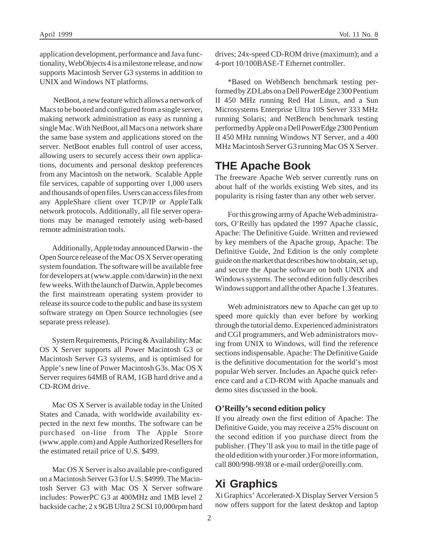application development, performance and Java functionality, WebObjects 4 is a milestone release, and now supports Macintosh Server G3 systems in addition to UNIX and Windows NT platforms.

 NetBoot, a new feature which allows a network of Macs to be booted and configured from a single server, making network administration as easy as running a single Mac. With NetBoot, all Macs on a network share the same base system and applications stored on the server. NetBoot enables full control of user access, allowing users to securely access their own applications, documents and personal desktop preferences from any Macintosh on the network. Scalable Apple file services, capable of supporting over 1,000 users and thousands of open files. Users can access files from any AppleShare client over TCP/IP or AppleTalk network protocols. Additionally, all file server operations may be managed remotely using web-based remote administration tools.

Additionally, Apple today announced Darwin - the Open Source release of the Mac OS X Server operating system foundation. The software will be available free for developers at (www.apple.com/darwin) in the next few weeks. With the launch of Darwin, Apple becomes the first mainstream operating system provider to release its source code to the public and base its system software strategy on Open Source technologies (see separate press release).

System Requirements, Pricing & Availability: Mac OS X Server supports all Power Macintosh G3 or Macintosh Server G3 systems, and is optimised for Apple's new line of Power Macintosh G3s. Mac OS X Server requires 64MB of RAM, 1GB hard drive and a CD-ROM drive.

Mac OS X Server is available today in the United States and Canada, with worldwide availability expected in the next few months. The software can be purchased on-line from The Apple Store (www.apple.com) and Apple Authorized Resellers for the estimated retail price of U.S. \$499.

Mac OS X Server is also available pre-configured on a Macintosh Server G3 for U.S. \$4999. The Macintosh Server G3 with Mac OS X Server software includes: PowerPC G3 at 400MHz and 1MB level 2 backside cache; 2 x 9GB Ultra 2 SCSI 10,000rpm hard

drives; 24x-speed CD-ROM drive (maximum); and a 4-port 10/100BASE-T Ethernet controller.

\*Based on WebBench benchmark testing performed by ZD Labs on a Dell PowerEdge 2300 Pentium II 450 MHz running Red Hat Linux, and a Sun Microsystems Enterprise Ultra 10S Server 333 MHz running Solaris; and NetBench benchmark testing performed by Apple on a Dell PowerEdge 2300 Pentium II 450 MHz running Windows NT Server, and a 400 MHz Macintosh Server G3 running Mac OS X Server.

#### **THE Apache Book**

The freeware Apache Web server currently runs on about half of the worlds existing Web sites, and its popularity is rising faster than any other web server.

For this growing army of Apache Web administrators, O'Reilly has updated the 1997 Apache classic, Apache: The Definitive Guide. Written and reviewed by key members of the Apache group, Apache: The Definitive Guide, 2nd Edition is the only complete guide on the market that describes how to obtain, set up, and secure the Apache software on both UNIX and Windows systems. The second edition fully describes Windows support and all the other Apache 1.3 features.

Web administrators new to Apache can get up to speed more quickly than ever before by working through the tutorial demo. Experienced administrators and CGI programmers, and Web administrators moving from UNIX to Windows, will find the reference sections indispensable. Apache: The Definitive Guide is the definitive documentation for the world's most popular Web server. Includes an Apache quick reference card and a CD-ROM with Apache manuals and demo sites discussed in the book.

#### **O'Reilly's second edition policy**

If you already own the first edition of Apache: The Definitive Guide, you may receive a 25% discount on the second edition if you purchase direct from the publisher. (They'll ask you to mail in the title page of the old edition with your order.) For more information, call 800/998-9938 or e-mail order@oreilly.com.

## **Xi Graphics**

Xi Graphics' Accelerated-X Display Server Version 5 now offers support for the latest desktop and laptop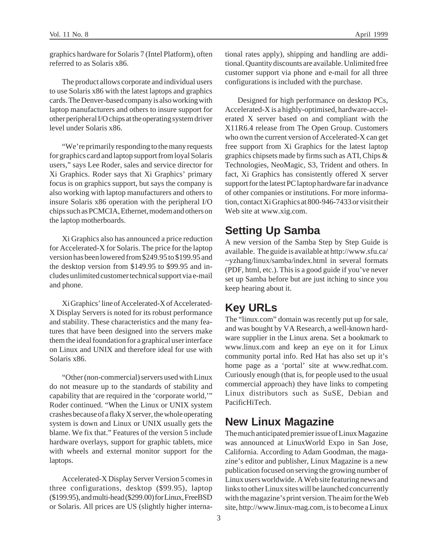graphics hardware for Solaris 7 (Intel Platform), often referred to as Solaris x86.

The product allows corporate and individual users to use Solaris x86 with the latest laptops and graphics cards. The Denver-based company is also working with laptop manufacturers and others to insure support for other peripheral I/O chips at the operating system driver level under Solaris x86.

"We're primarily responding to the many requests for graphics card and laptop support from loyal Solaris users," says Lee Roder, sales and service director for Xi Graphics. Roder says that Xi Graphics' primary focus is on graphics support, but says the company is also working with laptop manufacturers and others to insure Solaris x86 operation with the peripheral I/O chips such as PCMCIA, Ethernet, modem and others on the laptop motherboards.

Xi Graphics also has announced a price reduction for Accelerated-X for Solaris. The price for the laptop version has been lowered from \$249.95 to \$199.95 and the desktop version from \$149.95 to \$99.95 and includes unlimited customer technical support via e-mail and phone.

Xi Graphics' line of Accelerated-X of Accelerated-X Display Servers is noted for its robust performance and stability. These characteristics and the many features that have been designed into the servers make them the ideal foundation for a graphical user interface on Linux and UNIX and therefore ideal for use with Solaris x86.

"Other (non-commercial) servers used with Linux do not measure up to the standards of stability and capability that are required in the 'corporate world,'" Roder continued. "When the Linux or UNIX system crashes because of a flaky X server, the whole operating system is down and Linux or UNIX usually gets the blame. We fix that." Features of the version 5 include hardware overlays, support for graphic tablets, mice with wheels and external monitor support for the laptops.

Accelerated-X Display Server Version 5 comes in three configurations, desktop (\$99.95), laptop (\$199.95), and multi-head (\$299.00) for Linux, FreeBSD or Solaris. All prices are US (slightly higher interna-

tional rates apply), shipping and handling are additional. Quantity discounts are available. Unlimited free customer support via phone and e-mail for all three configurations is included with the purchase.

Designed for high performance on desktop PCs, Accelerated-X is a highly-optimised, hardware-accelerated X server based on and compliant with the X11R6.4 release from The Open Group. Customers who own the current version of Accelerated-X can get free support from Xi Graphics for the latest laptop graphics chipsets made by firms such as ATI, Chips & Technologies, NeoMagic, S3, Trident and others. In fact, Xi Graphics has consistently offered X server support for the latest PC laptop hardware far in advance of other companies or institutions. For more information, contact Xi Graphics at 800-946-7433 or visit their Web site at www.xig.com.

### **Setting Up Samba**

A new version of the Samba Step by Step Guide is available. The guide is available at http://www.sfu.ca/ ~yzhang/linux/samba/index.html in several formats (PDF, html, etc.). This is a good guide if you've never set up Samba before but are just itching to since you keep hearing about it.

## **Key URLs**

The "linux.com" domain was recently put up for sale, and was bought by VA Research, a well-known hardware supplier in the Linux arena. Set a bookmark to www.linux.com and keep an eye on it for Linux community portal info. Red Hat has also set up it's home page as a 'portal' site at www.redhat.com. Curiously enough (that is, for people used to the usual commercial approach) they have links to competing Linux distributors such as SuSE, Debian and PacificHiTech.

### **New Linux Magazine**

The much anticipated premier issue of Linux Magazine was announced at LinuxWorld Expo in San Jose, California. According to Adam Goodman, the magazine's editor and publisher, Linux Magazine is a new publication focused on serving the growing number of Linux users worldwide. A Web site featuring news and links to other Linux sites will be launched concurrently with the magazine's print version. The aim for the Web site, http://www.linux-mag.com, is to become a Linux